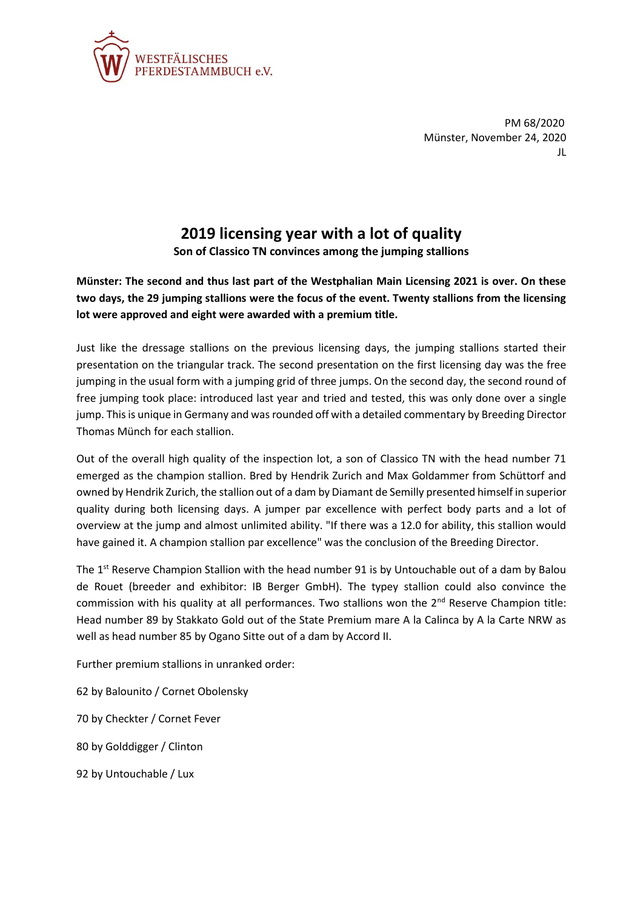

PM 68/2020 Münster, November 24, 2020 JL

## **2019 licensing year with a lot of quality**

**Son of Classico TN convinces among the jumping stallions**

**Münster: The second and thus last part of the Westphalian Main Licensing 2021 is over. On these two days, the 29 jumping stallions were the focus of the event. Twenty stallions from the licensing lot were approved and eight were awarded with a premium title.**

Just like the dressage stallions on the previous licensing days, the jumping stallions started their presentation on the triangular track. The second presentation on the first licensing day was the free jumping in the usual form with a jumping grid of three jumps. On the second day, the second round of free jumping took place: introduced last year and tried and tested, this was only done over a single jump. This is unique in Germany and was rounded off with a detailed commentary by Breeding Director Thomas Münch for each stallion.

Out of the overall high quality of the inspection lot, a son of Classico TN with the head number 71 emerged as the champion stallion. Bred by Hendrik Zurich and Max Goldammer from Schüttorf and owned by Hendrik Zurich, the stallion out of a dam by Diamant de Semilly presented himself in superior quality during both licensing days. A jumper par excellence with perfect body parts and a lot of overview at the jump and almost unlimited ability. "If there was a 12.0 for ability, this stallion would have gained it. A champion stallion par excellence" was the conclusion of the Breeding Director.

The  $1<sup>st</sup>$  Reserve Champion Stallion with the head number 91 is by Untouchable out of a dam by Balou de Rouet (breeder and exhibitor: IB Berger GmbH). The typey stallion could also convince the commission with his quality at all performances. Two stallions won the  $2<sup>nd</sup>$  Reserve Champion title: Head number 89 by Stakkato Gold out of the State Premium mare A la Calinca by A la Carte NRW as well as head number 85 by Ogano Sitte out of a dam by Accord II.

Further premium stallions in unranked order:

62 by Balounito / Cornet Obolensky

70 by Checkter / Cornet Fever

80 by Golddigger / Clinton

92 by Untouchable / Lux